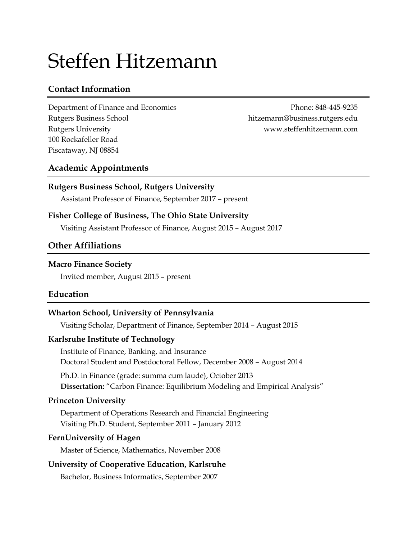# Steffen Hitzemann

# **Contact Information**

Department of Finance and Economics Phone: 848-445-9235 Rutgers Business School hitzemann@business.rutgers.edu Rutgers University www.steffenhitzemann.com 100 Rockafeller Road Piscataway, NJ 08854

# **Academic Appointments**

## **Rutgers Business School, Rutgers University**

Assistant Professor of Finance, September 2017 – present

## **Fisher College of Business, The Ohio State University**

Visiting Assistant Professor of Finance, August 2015 – August 2017

## **Other Affiliations**

#### **Macro Finance Society**

Invited member, August 2015 – present

## **Education**

## **Wharton School, University of Pennsylvania**

Visiting Scholar, Department of Finance, September 2014 – August 2015

#### **Karlsruhe Institute of Technology**

Institute of Finance, Banking, and Insurance Doctoral Student and Postdoctoral Fellow, December 2008 – August 2014

Ph.D. in Finance (grade: summa cum laude), October 2013 **Dissertation:** "Carbon Finance: Equilibrium Modeling and Empirical Analysis"

## **Princeton University**

Department of Operations Research and Financial Engineering Visiting Ph.D. Student, September 2011 – January 2012

## **FernUniversity of Hagen**

Master of Science, Mathematics, November 2008

# **University of Cooperative Education, Karlsruhe**

Bachelor, Business Informatics, September 2007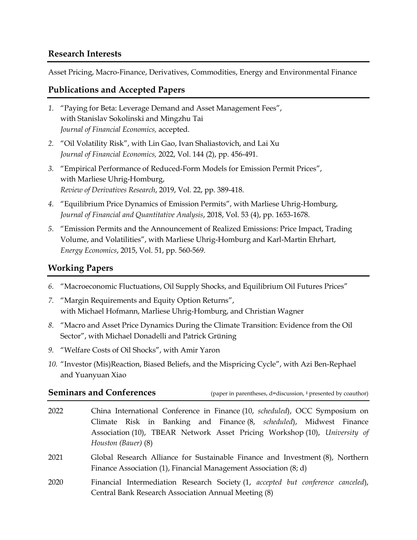#### **Research Interests**

Asset Pricing, Macro-Finance, Derivatives, Commodities, Energy and Environmental Finance

#### **Publications and Accepted Papers**

- <span id="page-1-2"></span>*1.* "Paying for Beta: Leverage Demand and Asset Management Fees", with Stanislav Sokolinski and Mingzhu Tai *Journal of Financial Economics,* accepted.
- <span id="page-1-4"></span>*2.* "Oil Volatility Risk", with Lin Gao, Ivan Shaliastovich, and Lai Xu *Journal of Financial Economics,* 2022, Vol. 144 (2), pp. 456-491.
- *3.* "Empirical Performance of Reduced-Form Models for Emission Permit Prices", with Marliese Uhrig-Homburg, *Review of Derivatives Research*, 2019, Vol. 22, pp. 389-418.
- *4.* "Equilibrium Price Dynamics of Emission Permits", with Marliese Uhrig-Homburg, *Journal of Financial and Quantitative Analysis*, 2018, Vol. 53 (4), pp. 1653-1678.
- *5.* "Emission Permits and the Announcement of Realized Emissions: Price Impact, Trading Volume, and Volatilities", with Marliese Uhrig-Homburg and Karl-Martin Ehrhart, *Energy Economics*, 2015, Vol. 51, pp. 560-569.

## **Working Papers**

- <span id="page-1-5"></span>*6.* "Macroeconomic Fluctuations, Oil Supply Shocks, and Equilibrium Oil Futures Prices"
- <span id="page-1-3"></span>*7.* "Margin Requirements and Equity Option Returns", with Michael Hofmann, Marliese Uhrig-Homburg, and Christian Wagner
- <span id="page-1-1"></span>*8.* "Macro and Asset Price Dynamics During the Climate Transition: Evidence from the Oil Sector", with Michael Donadelli and Patrick Grüning
- <span id="page-1-6"></span>*9.* "Welfare Costs of Oil Shocks", with Amir Yaron
- <span id="page-1-0"></span>*10.* "Investor (Mis)Reaction, Biased Beliefs, and the Mispricing Cycle", with Azi Ben-Rephael and Yuanyuan Xiao

#### **Seminars and Conferences**

(paper in parentheses,  $d =$ discussion,  $\dagger$  presented by coauthor)

- 2022 China International Conference in Finance [\(10,](#page-1-0) *scheduled*), OCC Symposium on Climate Risk in Banking and Finance [\(8,](#page-1-1) *scheduled*), Midwest Finance Association [\(10\)](#page-1-0), TBEAR Network Asset Pricing Workshop [\(10\)](#page-1-0), *University of Houston (Bauer)* [\(8\)](#page-1-1)
- 2021 Global Research Alliance for Sustainable Finance and Investment [\(8\)](#page-1-1), Northern Finance Association [\(1\)](#page-1-2), Financial Management Association [\(8;](#page-1-1) d)
- 2020 Financial Intermediation Research Society [\(1,](#page-1-2) *accepted but conference canceled*), Central Bank Research Association Annual Meeting [\(8\)](#page-1-1)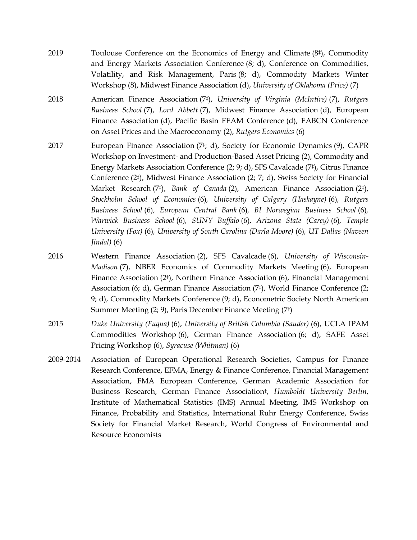- 2019 Toulouse Conference on the Economics of Energy and Climate [\(8](#page-1-1)‡), Commodity and Energy Markets Association Conference [\(8;](#page-1-1) d), Conference on Commodities, Volatility, and Risk Management, Paris [\(8;](#page-1-1) d), Commodity Markets Winter Workshop [\(8\)](#page-1-1), Midwest Finance Association (d), *University of Oklahoma (Price)* [\(7\)](#page-1-3)
- 2018 American Finance Association [\(7](#page-1-3)‡), *University of Virginia (McIntire)* [\(7\)](#page-1-3), *Rutgers Business School* [\(7\)](#page-1-3), *Lord Abbett* [\(7\)](#page-1-3), Midwest Finance Association (d), European Finance Association (d), Pacific Basin FEAM Conference (d), EABCN Conference on Asset Prices and the Macroeconomy [\(2\)](#page-1-4), *Rutgers Economics* [\(6\)](#page-1-5)
- 2017 European Finance Association [\(7](#page-1-3)‡; d), Society for Economic Dynamics [\(9\)](#page-1-6), CAPR Workshop on Investment- and Production-Based Asset Pricing [\(2\)](#page-1-4), Commodity and Energy Markets Association Conference [\(2;](#page-1-4) [9;](#page-1-6) d), SFS Cavalcade [\(7](#page-1-3)‡), Citrus Finance Conference [\(2](#page-1-4)‡), Midwest Finance Association [\(2;](#page-1-4) [7;](#page-1-3) d), Swiss Society for Financial Market Research [\(7](#page-1-3)‡), *Bank of Canada* [\(2\)](#page-1-4), American Finance Association [\(2](#page-1-4)‡), *Stockholm School of Economics* [\(6\)](#page-1-5)*, University of Calgary (Haskayne)* [\(6\)](#page-1-5)*, Rutgers Business School* [\(6\)](#page-1-5)*, European Central Bank* [\(6\)](#page-1-5)*, BI Norwegian Business School* [\(6\)](#page-1-5)*, Warwick Business School* [\(6\)](#page-1-5)*, SUNY Buffalo* [\(6\)](#page-1-5)*, Arizona State (Carey)* [\(6\)](#page-1-5)*, Temple University (Fox)* [\(6\)](#page-1-5)*, University of South Carolina (Darla Moore)* [\(6\)](#page-1-5)*, UT Dallas (Naveen Jindal)* [\(6\)](#page-1-5)
- 2016 Western Finance Association [\(2\)](#page-1-4), SFS Cavalcade [\(6\)](#page-1-5), *University of Wisconsin-Madison* [\(7\)](#page-1-3), NBER Economics of Commodity Markets Meeting [\(6\)](#page-1-5), European Finance Association [\(2](#page-1-4)‡), Northern Finance Association [\(6\)](#page-1-5), Financial Management Association [\(6;](#page-1-5) d), German Finance Association [\(7](#page-1-3)‡), World Finance Conference [\(2;](#page-1-4) [9;](#page-1-6) d), Commodity Markets Conference [\(9;](#page-1-6) d), Econometric Society North American Summer Meeting [\(2;](#page-1-4) [9\)](#page-1-6), Paris December Finance Meeting [\(7](#page-1-3)‡)
- 2015 *Duke University (Fuqua)* [\(6\)](#page-1-5), *University of British Columbia (Sauder)* [\(6\)](#page-1-5), UCLA IPAM Commodities Workshop [\(6\)](#page-1-5), German Finance Association [\(6;](#page-1-5) d), SAFE Asset Pricing Workshop [\(6\)](#page-1-5), *Syracuse (Whitman)* [\(6\)](#page-1-5)
- 2009-2014 Association of European Operational Research Societies, Campus for Finance Research Conference, EFMA, Energy & Finance Conference, Financial Management Association, FMA European Conference, German Academic Association for Business Research, German Finance Association‡, *Humboldt University Berlin*, Institute of Mathematical Statistics (IMS) Annual Meeting, IMS Workshop on Finance, Probability and Statistics, International Ruhr Energy Conference, Swiss Society for Financial Market Research, World Congress of Environmental and Resource Economists